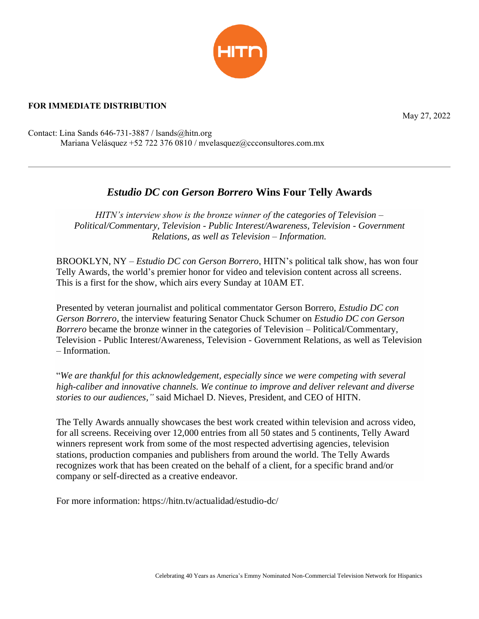

## **FOR IMMEDIATE DISTRIBUTION**

May 27, 2022

Contact: Lina Sands 646-731-3887 / lsands@hitn.org Mariana Velásquez +52 722 376 0810 / mvelasquez@ccconsultores.com.mx

## *Estudio DC con Gerson Borrero* **Wins Four Telly Awards**

*HITN's interview show is the bronze winner of the categories of Television – Political/Commentary, Television - Public Interest/Awareness, Television - Government Relations, as well as Television – Information.*

BROOKLYN, NY – *Estudio DC con Gerson Borrero*, HITN's political talk show, has won four Telly Awards, the world's premier honor for video and television content across all screens. This is a first for the show, which airs every Sunday at 10AM ET.

Presented by veteran journalist and political commentator Gerson Borrero, *Estudio DC con Gerson Borrero*, the interview featuring Senator Chuck Schumer on *Estudio DC con Gerson Borrero* became the bronze winner in the categories of Television – Political/Commentary, Television - Public Interest/Awareness, Television - Government Relations, as well as Television – Information.

"*We are thankful for this acknowledgement, especially since we were competing with several high-caliber and innovative channels. We continue to improve and deliver relevant and diverse stories to our audiences,"* said Michael D. Nieves, President, and CEO of HITN.

The Telly Awards annually showcases the best work created within television and across video, for all screens. Receiving over 12,000 entries from all 50 states and 5 continents, Telly Award winners represent work from some of the most respected advertising agencies, television stations, production companies and publishers from around the world. The Telly Awards recognizes work that has been created on the behalf of a client, for a specific brand and/or company or self-directed as a creative endeavor.

For more information:<https://hitn.tv/actualidad/estudio-dc/>